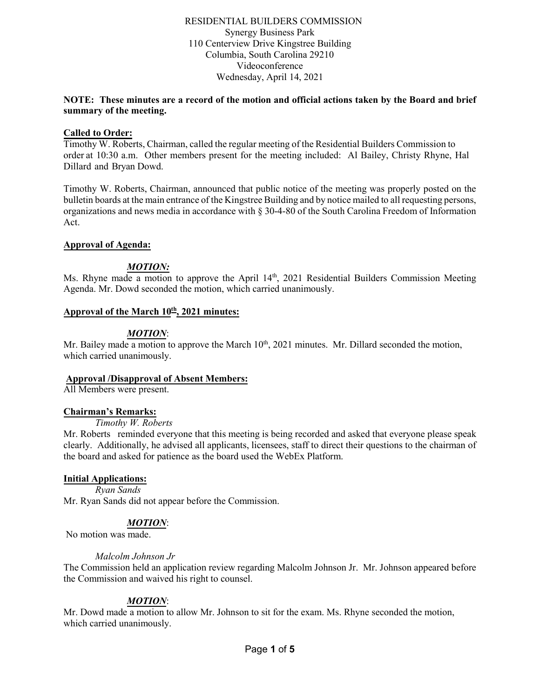### RESIDENTIAL BUILDERS COMMISSION Synergy Business Park 110 Centerview Drive Kingstree Building Columbia, South Carolina 29210 Videoconference Wednesday, April 14, 2021

### **NOTE: These minutes are a record of the motion and official actions taken by the Board and brief summary of the meeting.**

### **Called to Order:**

Timothy W. Roberts, Chairman, called the regular meeting of the Residential Builders Commission to order at 10:30 a.m. Other members present for the meeting included: Al Bailey, Christy Rhyne, Hal Dillard and Bryan Dowd.

Timothy W. Roberts, Chairman, announced that public notice of the meeting was properly posted on the bulletin boards at the main entrance of the Kingstree Building and by notice mailed to all requesting persons, organizations and news media in accordance with § 30-4-80 of the South Carolina Freedom of Information Act.

### **Approval of Agenda:**

# *MOTION:*

Ms. Rhyne made a motion to approve the April 14<sup>th</sup>, 2021 Residential Builders Commission Meeting Agenda. Mr. Dowd seconded the motion, which carried unanimously.

### **Approval of the March 10 th, 2021 minutes:**

## *MOTION*:

Mr. Bailey made a motion to approve the March  $10^{th}$ , 2021 minutes. Mr. Dillard seconded the motion, which carried unanimously.

### **Approval /Disapproval of Absent Members:**

All Members were present.

#### **Chairman's Remarks:**

*Timothy W. Roberts* 

Mr. Roberts reminded everyone that this meeting is being recorded and asked that everyone please speak clearly. Additionally, he advised all applicants, licensees, staff to direct their questions to the chairman of the board and asked for patience as the board used the WebEx Platform.

#### **Initial Applications:**

*Ryan Sands*  Mr. Ryan Sands did not appear before the Commission.

## *MOTION*:

No motion was made.

#### *Malcolm Johnson Jr*

The Commission held an application review regarding Malcolm Johnson Jr. Mr. Johnson appeared before the Commission and waived his right to counsel.

## *MOTION*:

Mr. Dowd made a motion to allow Mr. Johnson to sit for the exam. Ms. Rhyne seconded the motion, which carried unanimously.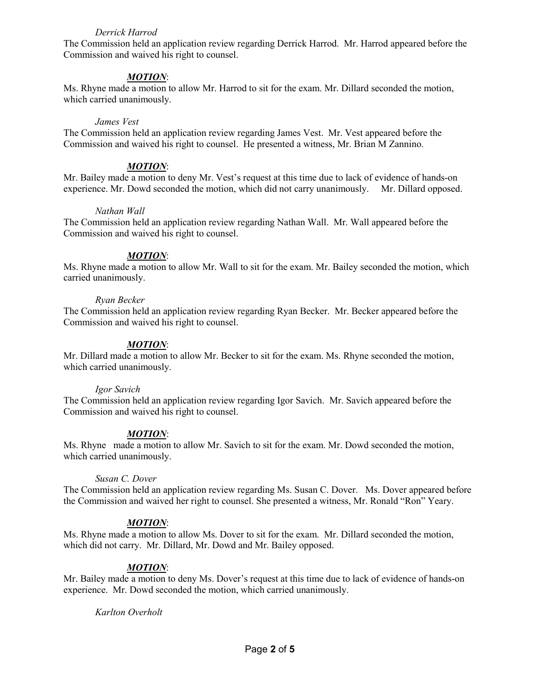### *Derrick Harrod*

The Commission held an application review regarding Derrick Harrod. Mr. Harrod appeared before the Commission and waived his right to counsel.

## *MOTION*:

Ms. Rhyne made a motion to allow Mr. Harrod to sit for the exam. Mr. Dillard seconded the motion, which carried unanimously.

#### *James Vest*

The Commission held an application review regarding James Vest. Mr. Vest appeared before the Commission and waived his right to counsel. He presented a witness, Mr. Brian M Zannino.

#### *MOTION*:

Mr. Bailey made a motion to deny Mr. Vest's request at this time due to lack of evidence of hands-on experience. Mr. Dowd seconded the motion, which did not carry unanimously. Mr. Dillard opposed.

#### *Nathan Wall*

The Commission held an application review regarding Nathan Wall. Mr. Wall appeared before the Commission and waived his right to counsel.

#### *MOTION*:

Ms. Rhyne made a motion to allow Mr. Wall to sit for the exam. Mr. Bailey seconded the motion, which carried unanimously.

#### *Ryan Becker*

The Commission held an application review regarding Ryan Becker. Mr. Becker appeared before the Commission and waived his right to counsel.

#### *MOTION*:

Mr. Dillard made a motion to allow Mr. Becker to sit for the exam. Ms. Rhyne seconded the motion, which carried unanimously.

#### *Igor Savich*

The Commission held an application review regarding Igor Savich. Mr. Savich appeared before the Commission and waived his right to counsel.

#### *MOTION*:

Ms. Rhyne made a motion to allow Mr. Savich to sit for the exam. Mr. Dowd seconded the motion, which carried unanimously.

#### *Susan C. Dover*

The Commission held an application review regarding Ms. Susan C. Dover. Ms. Dover appeared before the Commission and waived her right to counsel. She presented a witness, Mr. Ronald "Ron" Yeary.

#### *MOTION*:

Ms. Rhyne made a motion to allow Ms. Dover to sit for the exam. Mr. Dillard seconded the motion, which did not carry. Mr. Dillard, Mr. Dowd and Mr. Bailey opposed.

#### *MOTION*:

Mr. Bailey made a motion to deny Ms. Dover's request at this time due to lack of evidence of hands-on experience. Mr. Dowd seconded the motion, which carried unanimously.

#### *Karlton Overholt*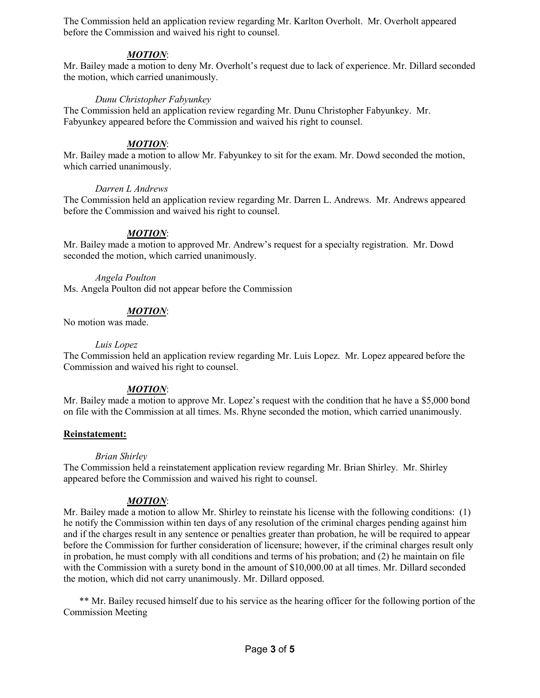The Commission held an application review regarding Mr. Karlton Overholt. Mr. Overholt appeared before the Commission and waived his right to counsel.

## *MOTION*:

Mr. Bailey made a motion to deny Mr. Overholt's request due to lack of experience. Mr. Dillard seconded the motion, which carried unanimously.

### *Dunu Christopher Fabyunkey*

The Commission held an application review regarding Mr. Dunu Christopher Fabyunkey. Mr. Fabyunkey appeared before the Commission and waived his right to counsel.

### *MOTION*:

Mr. Bailey made a motion to allow Mr. Fabyunkey to sit for the exam. Mr. Dowd seconded the motion, which carried unanimously.

### *Darren L Andrews*

The Commission held an application review regarding Mr. Darren L. Andrews. Mr. Andrews appeared before the Commission and waived his right to counsel.

### *MOTION*:

Mr. Bailey made a motion to approved Mr. Andrew's request for a specialty registration. Mr. Dowd seconded the motion, which carried unanimously.

#### *Angela Poulton*

Ms. Angela Poulton did not appear before the Commission

### *MOTION*:

No motion was made.

#### *Luis Lopez*

The Commission held an application review regarding Mr. Luis Lopez. Mr. Lopez appeared before the Commission and waived his right to counsel.

## *MOTION*:

Mr. Bailey made a motion to approve Mr. Lopez's request with the condition that he have a \$5,000 bond on file with the Commission at all times. Ms. Rhyne seconded the motion, which carried unanimously.

#### **Reinstatement:**

#### *Brian Shirley*

The Commission held a reinstatement application review regarding Mr. Brian Shirley. Mr. Shirley appeared before the Commission and waived his right to counsel.

## *MOTION*:

Mr. Bailey made a motion to allow Mr. Shirley to reinstate his license with the following conditions: (1) he notify the Commission within ten days of any resolution of the criminal charges pending against him and if the charges result in any sentence or penalties greater than probation, he will be required to appear before the Commission for further consideration of licensure; however, if the criminal charges result only in probation, he must comply with all conditions and terms of his probation; and (2) he maintain on file with the Commission with a surety bond in the amount of \$10,000.00 at all times. Mr. Dillard seconded the motion, which did not carry unanimously. Mr. Dillard opposed.

\*\* Mr. Bailey recused himself due to his service as the hearing officer for the following portion of the Commission Meeting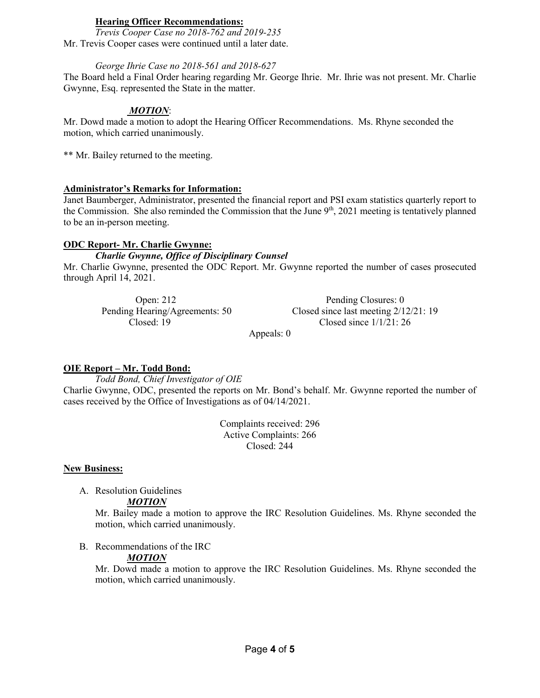## **Hearing Officer Recommendations:**

*Trevis Cooper Case no 2018-762 and 2019-235* Mr. Trevis Cooper cases were continued until a later date.

### *George Ihrie Case no 2018-561 and 2018-627*

The Board held a Final Order hearing regarding Mr. George Ihrie. Mr. Ihrie was not present. Mr. Charlie Gwynne, Esq. represented the State in the matter.

## *MOTION*:

Mr. Dowd made a motion to adopt the Hearing Officer Recommendations. Ms. Rhyne seconded the motion, which carried unanimously.

\*\* Mr. Bailey returned to the meeting.

### **Administrator's Remarks for Information:**

Janet Baumberger, Administrator, presented the financial report and PSI exam statistics quarterly report to the Commission. She also reminded the Commission that the June  $9<sup>th</sup>$ , 2021 meeting is tentatively planned to be an in-person meeting.

### **ODC Report- Mr. Charlie Gwynne:**

### *Charlie Gwynne, Office of Disciplinary Counsel*

Mr. Charlie Gwynne, presented the ODC Report. Mr. Gwynne reported the number of cases prosecuted through April 14, 2021.

| Pending Closures: 0                    |
|----------------------------------------|
| Closed since last meeting $2/12/21:19$ |
| Closed since $1/1/21$ : 26             |
|                                        |

Appeals: 0

## **OIE Report – Mr. Todd Bond:**

*Todd Bond, Chief Investigator of OIE*

Charlie Gwynne, ODC, presented the reports on Mr. Bond's behalf. Mr. Gwynne reported the number of cases received by the Office of Investigations as of 04/14/2021.

> Complaints received: 296 Active Complaints: 266 Closed: 244

#### **New Business:**

A. Resolution Guidelines

#### *MOTION*

Mr. Bailey made a motion to approve the IRC Resolution Guidelines. Ms. Rhyne seconded the motion, which carried unanimously.

B. Recommendations of the IRC

## *MOTION*

Mr. Dowd made a motion to approve the IRC Resolution Guidelines. Ms. Rhyne seconded the motion, which carried unanimously.